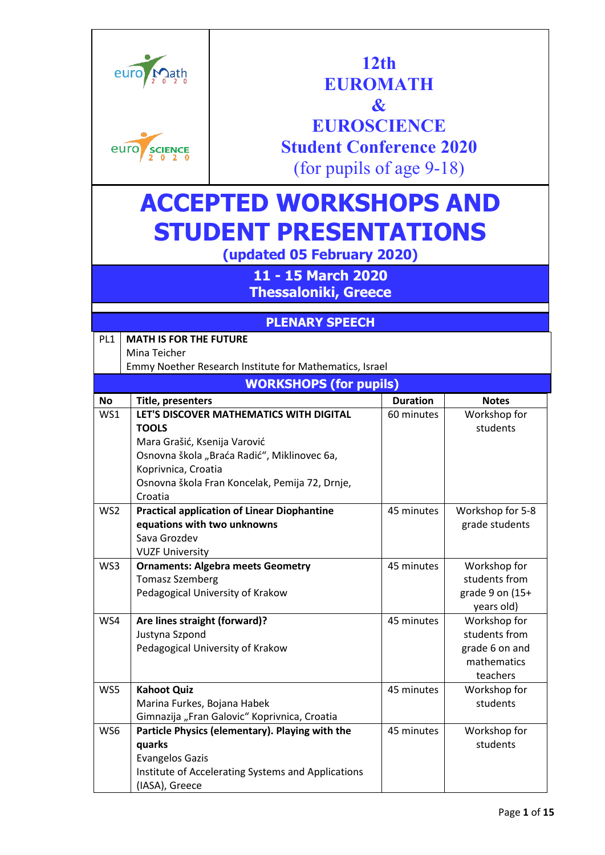|                 | euro<br>euro<br><b>SCIENCE</b>               | <b>Student Conference 2020</b>                             | 12 <sub>th</sub><br>EUROMATH<br>$\boldsymbol{\mathcal{X}}$<br><b>EUROSCIENCE</b><br>(for pupils of age $9-18$ ) |                               |  |
|-----------------|----------------------------------------------|------------------------------------------------------------|-----------------------------------------------------------------------------------------------------------------|-------------------------------|--|
|                 | <b>ACCEPTED WORKSHOPS AND</b>                |                                                            |                                                                                                                 |                               |  |
|                 |                                              | <b>STUDENT PRESENTATIONS</b><br>(updated 05 February 2020) |                                                                                                                 |                               |  |
|                 |                                              | 11 - 15 March 2020                                         |                                                                                                                 |                               |  |
|                 |                                              | <b>Thessaloniki, Greece</b><br><b>PLENARY SPEECH</b>       |                                                                                                                 |                               |  |
| PL <sub>1</sub> | <b>MATH IS FOR THE FUTURE</b>                |                                                            |                                                                                                                 |                               |  |
|                 | Mina Teicher                                 |                                                            |                                                                                                                 |                               |  |
|                 |                                              | Emmy Noether Research Institute for Mathematics, Israel    |                                                                                                                 |                               |  |
|                 |                                              | <b>WORKSHOPS (for pupils)</b>                              |                                                                                                                 |                               |  |
| <b>No</b>       | Title, presenters                            |                                                            | <b>Duration</b>                                                                                                 | <b>Notes</b>                  |  |
| WS1             |                                              | LET'S DISCOVER MATHEMATICS WITH DIGITAL                    | 60 minutes                                                                                                      | Workshop for                  |  |
|                 | <b>TOOLS</b><br>Mara Grašić, Ksenija Varović |                                                            |                                                                                                                 | students                      |  |
|                 |                                              |                                                            |                                                                                                                 |                               |  |
|                 |                                              |                                                            |                                                                                                                 |                               |  |
|                 |                                              | Osnovna škola "Braća Radić", Miklinovec 6a,                |                                                                                                                 |                               |  |
|                 | Koprivnica, Croatia                          |                                                            |                                                                                                                 |                               |  |
|                 | Croatia                                      | Osnovna škola Fran Koncelak, Pemija 72, Drnje,             |                                                                                                                 |                               |  |
| WS2             |                                              | <b>Practical application of Linear Diophantine</b>         | 45 minutes                                                                                                      | Workshop for 5-8              |  |
|                 | equations with two unknowns                  |                                                            |                                                                                                                 | grade students                |  |
|                 | Sava Grozdev                                 |                                                            |                                                                                                                 |                               |  |
|                 | <b>VUZF University</b>                       |                                                            |                                                                                                                 |                               |  |
| WS3             |                                              | <b>Ornaments: Algebra meets Geometry</b>                   | 45 minutes                                                                                                      | Workshop for                  |  |
|                 | <b>Tomasz Szemberg</b>                       |                                                            |                                                                                                                 | students from                 |  |
|                 |                                              | Pedagogical University of Krakow                           |                                                                                                                 | grade 9 on (15+               |  |
|                 |                                              |                                                            |                                                                                                                 | years old)                    |  |
| WS4             | Are lines straight (forward)?                |                                                            | 45 minutes                                                                                                      | Workshop for<br>students from |  |
|                 | Justyna Szpond                               | Pedagogical University of Krakow                           |                                                                                                                 | grade 6 on and                |  |
|                 |                                              |                                                            |                                                                                                                 | mathematics                   |  |
|                 |                                              |                                                            |                                                                                                                 | teachers                      |  |
| WS5             | <b>Kahoot Quiz</b>                           |                                                            | 45 minutes                                                                                                      | Workshop for                  |  |
|                 | Marina Furkes, Bojana Habek                  |                                                            |                                                                                                                 | students                      |  |
|                 |                                              | Gimnazija "Fran Galovic" Koprivnica, Croatia               |                                                                                                                 |                               |  |
| WS6             |                                              | Particle Physics (elementary). Playing with the            | 45 minutes                                                                                                      | Workshop for                  |  |
|                 | quarks                                       |                                                            |                                                                                                                 | students                      |  |
|                 | <b>Evangelos Gazis</b>                       | Institute of Accelerating Systems and Applications         |                                                                                                                 |                               |  |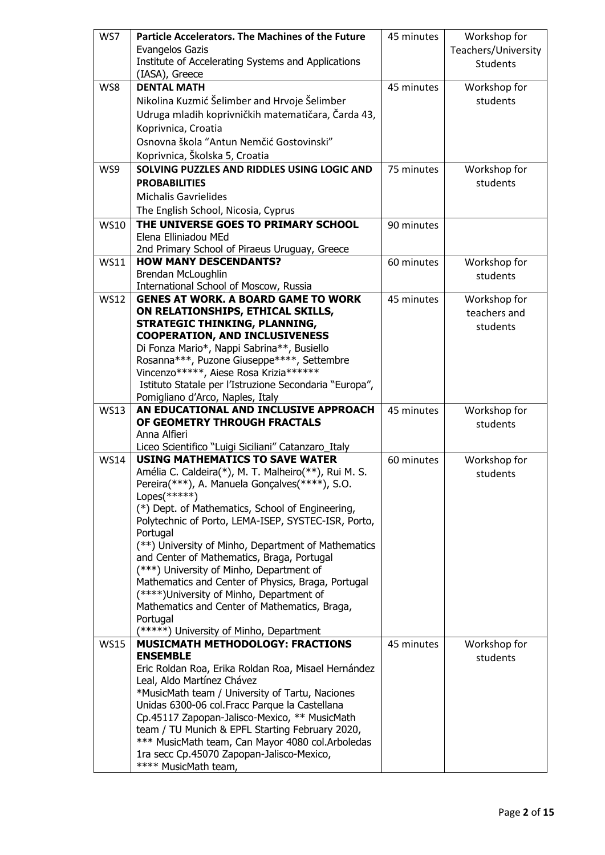| WS7         | <b>Particle Accelerators. The Machines of the Future</b>                                       | 45 minutes | Workshop for        |
|-------------|------------------------------------------------------------------------------------------------|------------|---------------------|
|             | <b>Evangelos Gazis</b>                                                                         |            | Teachers/University |
|             | Institute of Accelerating Systems and Applications                                             |            | <b>Students</b>     |
|             | (IASA), Greece                                                                                 |            |                     |
| WS8         | <b>DENTAL MATH</b>                                                                             | 45 minutes | Workshop for        |
|             | Nikolina Kuzmić Šelimber and Hrvoje Šelimber                                                   |            | students            |
|             | Udruga mladih koprivničkih matematičara, Čarda 43,                                             |            |                     |
|             | Koprivnica, Croatia                                                                            |            |                     |
|             | Osnovna škola "Antun Nemčić Gostovinski"                                                       |            |                     |
|             | Koprivnica, Školska 5, Croatia                                                                 |            |                     |
| WS9         | SOLVING PUZZLES AND RIDDLES USING LOGIC AND                                                    | 75 minutes | Workshop for        |
|             | <b>PROBABILITIES</b>                                                                           |            | students            |
|             | <b>Michalis Gavrielides</b>                                                                    |            |                     |
|             | The English School, Nicosia, Cyprus                                                            |            |                     |
| <b>WS10</b> | THE UNIVERSE GOES TO PRIMARY SCHOOL                                                            | 90 minutes |                     |
|             | Elena Elliniadou MEd                                                                           |            |                     |
|             | 2nd Primary School of Piraeus Uruguay, Greece                                                  |            |                     |
| <b>WS11</b> | <b>HOW MANY DESCENDANTS?</b>                                                                   | 60 minutes | Workshop for        |
|             | Brendan McLoughlin                                                                             |            | students            |
|             | International School of Moscow, Russia                                                         |            |                     |
| <b>WS12</b> | <b>GENES AT WORK, A BOARD GAME TO WORK</b>                                                     | 45 minutes | Workshop for        |
|             | ON RELATIONSHIPS, ETHICAL SKILLS,                                                              |            | teachers and        |
|             | STRATEGIC THINKING, PLANNING,                                                                  |            | students            |
|             | <b>COOPERATION, AND INCLUSIVENESS</b>                                                          |            |                     |
|             | Di Fonza Mario*, Nappi Sabrina**, Busiello                                                     |            |                     |
|             | Rosanna***, Puzone Giuseppe****, Settembre                                                     |            |                     |
|             | Vincenzo*****, Aiese Rosa Krizia*******                                                        |            |                     |
|             | Istituto Statale per l'Istruzione Secondaria "Europa",<br>Pomigliano d'Arco, Naples, Italy     |            |                     |
|             |                                                                                                |            |                     |
|             |                                                                                                |            |                     |
| <b>WS13</b> | AN EDUCATIONAL AND INCLUSIVE APPROACH                                                          | 45 minutes | Workshop for        |
|             | OF GEOMETRY THROUGH FRACTALS                                                                   |            | students            |
|             | Anna Alfieri                                                                                   |            |                     |
| <b>WS14</b> | Liceo Scientifico "Luigi Siciliani" Catanzaro_Italy<br><b>USING MATHEMATICS TO SAVE WATER</b>  |            |                     |
|             | Amélia C. Caldeira(*), M. T. Malheiro(**), Rui M. S.                                           | 60 minutes | Workshop for        |
|             | Pereira(***), A. Manuela Gonçalves(****), S.O.                                                 |            | students            |
|             | $Lopes(*****)$                                                                                 |            |                     |
|             | (*) Dept. of Mathematics, School of Engineering,                                               |            |                     |
|             | Polytechnic of Porto, LEMA-ISEP, SYSTEC-ISR, Porto,                                            |            |                     |
|             | Portugal                                                                                       |            |                     |
|             | (**) University of Minho, Department of Mathematics                                            |            |                     |
|             | and Center of Mathematics, Braga, Portugal                                                     |            |                     |
|             | (***) University of Minho, Department of                                                       |            |                     |
|             | Mathematics and Center of Physics, Braga, Portugal                                             |            |                     |
|             | (****)University of Minho, Department of                                                       |            |                     |
|             | Mathematics and Center of Mathematics, Braga,                                                  |            |                     |
|             | Portugal                                                                                       |            |                     |
| <b>WS15</b> | (*****) University of Minho, Department<br><b>MUSICMATH METHODOLOGY: FRACTIONS</b>             | 45 minutes | Workshop for        |
|             | <b>ENSEMBLE</b>                                                                                |            | students            |
|             | Eric Roldan Roa, Erika Roldan Roa, Misael Hernández                                            |            |                     |
|             | Leal, Aldo Martínez Chávez                                                                     |            |                     |
|             | *MusicMath team / University of Tartu, Naciones                                                |            |                     |
|             | Unidas 6300-06 col. Fracc Parque la Castellana                                                 |            |                     |
|             | Cp.45117 Zapopan-Jalisco-Mexico, ** MusicMath                                                  |            |                     |
|             | team / TU Munich & EPFL Starting February 2020,                                                |            |                     |
|             | *** MusicMath team, Can Mayor 4080 col. Arboledas<br>1ra secc Cp.45070 Zapopan-Jalisco-Mexico, |            |                     |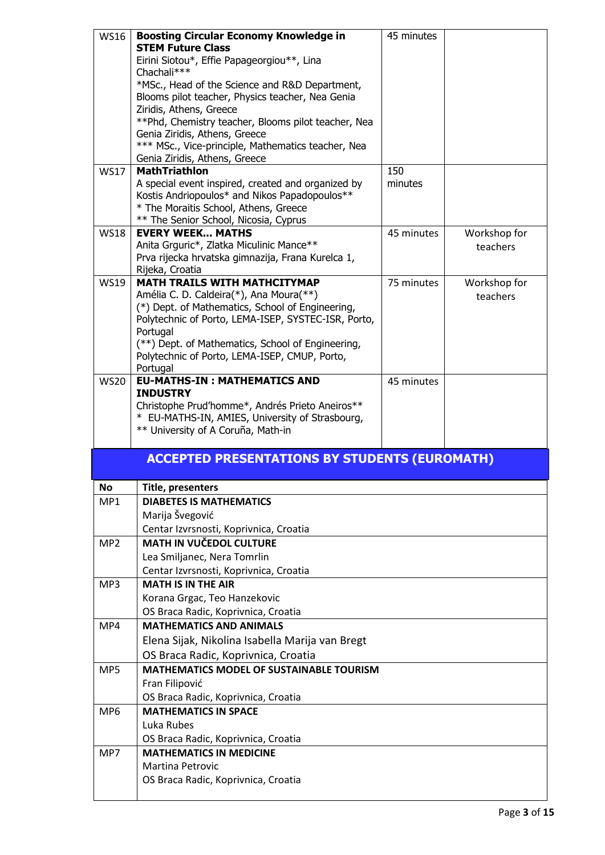| <b>WS16</b>     | <b>Boosting Circular Economy Knowledge in</b>                                                      | 45 minutes |                          |
|-----------------|----------------------------------------------------------------------------------------------------|------------|--------------------------|
|                 | <b>STEM Future Class</b>                                                                           |            |                          |
|                 | Eirini Siotou*, Effie Papageorgiou**, Lina                                                         |            |                          |
|                 | Chachali***                                                                                        |            |                          |
|                 | *MSc., Head of the Science and R&D Department,                                                     |            |                          |
|                 | Blooms pilot teacher, Physics teacher, Nea Genia                                                   |            |                          |
|                 | Ziridis, Athens, Greece                                                                            |            |                          |
|                 | ** Phd, Chemistry teacher, Blooms pilot teacher, Nea<br>Genia Ziridis, Athens, Greece              |            |                          |
|                 | *** MSc., Vice-principle, Mathematics teacher, Nea                                                 |            |                          |
|                 | Genia Ziridis, Athens, Greece                                                                      |            |                          |
| <b>WS17</b>     | <b>MathTriathIon</b>                                                                               | 150        |                          |
|                 | A special event inspired, created and organized by                                                 | minutes    |                          |
|                 | Kostis Andriopoulos* and Nikos Papadopoulos**                                                      |            |                          |
|                 | * The Moraitis School, Athens, Greece                                                              |            |                          |
|                 | ** The Senior School, Nicosia, Cyprus<br><b>EVERY WEEK MATHS</b>                                   |            |                          |
| <b>WS18</b>     | Anita Grguric*, Zlatka Miculinic Mance**                                                           | 45 minutes | Workshop for<br>teachers |
|                 | Prva rijecka hrvatska gimnazija, Frana Kurelca 1,                                                  |            |                          |
|                 | Rijeka, Croatia                                                                                    |            |                          |
| <b>WS19</b>     | <b>MATH TRAILS WITH MATHCITYMAP</b>                                                                | 75 minutes | Workshop for             |
|                 | Amélia C. D. Caldeira(*), Ana Moura(**)                                                            |            | teachers                 |
|                 | (*) Dept. of Mathematics, School of Engineering,                                                   |            |                          |
|                 | Polytechnic of Porto, LEMA-ISEP, SYSTEC-ISR, Porto,                                                |            |                          |
|                 | Portugal                                                                                           |            |                          |
|                 | (**) Dept. of Mathematics, School of Engineering,<br>Polytechnic of Porto, LEMA-ISEP, CMUP, Porto, |            |                          |
|                 | Portugal                                                                                           |            |                          |
| <b>WS20</b>     | <b>EU-MATHS-IN: MATHEMATICS AND</b>                                                                | 45 minutes |                          |
|                 | <b>INDUSTRY</b>                                                                                    |            |                          |
|                 | Christophe Prud'homme*, Andrés Prieto Aneiros**                                                    |            |                          |
|                 |                                                                                                    |            |                          |
|                 | * EU-MATHS-IN, AMIES, University of Strasbourg,                                                    |            |                          |
|                 | ** University of A Coruña, Math-in                                                                 |            |                          |
|                 |                                                                                                    |            |                          |
|                 | <b>ACCEPTED PRESENTATIONS BY STUDENTS (EUROMATH)</b>                                               |            |                          |
| <b>No</b>       | Title, presenters                                                                                  |            |                          |
| MP1             | <b>DIABETES IS MATHEMATICS</b>                                                                     |            |                          |
|                 | Marija Švegović                                                                                    |            |                          |
|                 | Centar Izvrsnosti, Koprivnica, Croatia                                                             |            |                          |
| MP <sub>2</sub> | <b>MATH IN VUČEDOL CULTURE</b>                                                                     |            |                          |
|                 | Lea Smiljanec, Nera Tomrlin                                                                        |            |                          |
|                 | Centar Izvrsnosti, Koprivnica, Croatia                                                             |            |                          |
| MP3             | <b>MATH IS IN THE AIR</b>                                                                          |            |                          |
|                 | Korana Grgac, Teo Hanzekovic                                                                       |            |                          |
|                 | OS Braca Radic, Koprivnica, Croatia                                                                |            |                          |
| MP4             | <b>MATHEMATICS AND ANIMALS</b>                                                                     |            |                          |
|                 | Elena Sijak, Nikolina Isabella Marija van Bregt                                                    |            |                          |
|                 |                                                                                                    |            |                          |
| MP5             | OS Braca Radic, Koprivnica, Croatia<br><b>MATHEMATICS MODEL OF SUSTAINABLE TOURISM</b>             |            |                          |
|                 | Fran Filipović                                                                                     |            |                          |
|                 |                                                                                                    |            |                          |
| MP <sub>6</sub> | OS Braca Radic, Koprivnica, Croatia<br><b>MATHEMATICS IN SPACE</b>                                 |            |                          |
|                 | Luka Rubes                                                                                         |            |                          |
|                 | OS Braca Radic, Koprivnica, Croatia                                                                |            |                          |
| MP7             | <b>MATHEMATICS IN MEDICINE</b>                                                                     |            |                          |
|                 | <b>Martina Petrovic</b>                                                                            |            |                          |
|                 | OS Braca Radic, Koprivnica, Croatia                                                                |            |                          |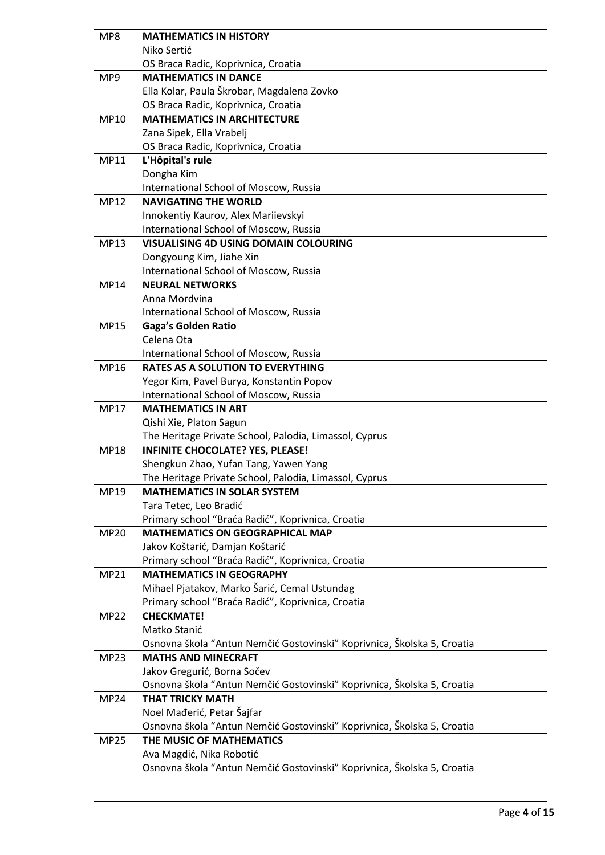| MP8         | <b>MATHEMATICS IN HISTORY</b>                                           |
|-------------|-------------------------------------------------------------------------|
|             | Niko Sertić                                                             |
|             | OS Braca Radic, Koprivnica, Croatia                                     |
| MP9         | <b>MATHEMATICS IN DANCE</b>                                             |
|             | Ella Kolar, Paula Škrobar, Magdalena Zovko                              |
|             | OS Braca Radic, Koprivnica, Croatia                                     |
| <b>MP10</b> | <b>MATHEMATICS IN ARCHITECTURE</b>                                      |
|             | Zana Sipek, Ella Vrabelj                                                |
|             | OS Braca Radic, Koprivnica, Croatia                                     |
| MP11        | L'Hôpital's rule                                                        |
|             | Dongha Kim                                                              |
|             | International School of Moscow, Russia                                  |
| <b>MP12</b> | <b>NAVIGATING THE WORLD</b>                                             |
|             | Innokentiy Kaurov, Alex Mariievskyi                                     |
|             | International School of Moscow, Russia                                  |
| MP13        | <b>VISUALISING 4D USING DOMAIN COLOURING</b>                            |
|             | Dongyoung Kim, Jiahe Xin                                                |
|             | International School of Moscow, Russia                                  |
| <b>MP14</b> | <b>NEURAL NETWORKS</b>                                                  |
|             | Anna Mordvina                                                           |
|             | International School of Moscow, Russia                                  |
| <b>MP15</b> | <b>Gaga's Golden Ratio</b>                                              |
|             | Celena Ota                                                              |
|             | International School of Moscow, Russia                                  |
| MP16        | <b>RATES AS A SOLUTION TO EVERYTHING</b>                                |
|             | Yegor Kim, Pavel Burya, Konstantin Popov                                |
|             | International School of Moscow, Russia                                  |
| <b>MP17</b> | <b>MATHEMATICS IN ART</b>                                               |
|             | Qishi Xie, Platon Sagun                                                 |
|             | The Heritage Private School, Palodia, Limassol, Cyprus                  |
| <b>MP18</b> | <b>INFINITE CHOCOLATE? YES, PLEASE!</b>                                 |
|             | Shengkun Zhao, Yufan Tang, Yawen Yang                                   |
|             | The Heritage Private School, Palodia, Limassol, Cyprus                  |
| MP19        | <b>MATHEMATICS IN SOLAR SYSTEM</b>                                      |
|             | Tara Tetec, Leo Bradić                                                  |
|             | Primary school "Braća Radić", Koprivnica, Croatia                       |
| <b>MP20</b> | <b>MATHEMATICS ON GEOGRAPHICAL MAP</b>                                  |
|             | Jakov Koštarić, Damjan Koštarić                                         |
|             | Primary school "Braća Radić", Koprivnica, Croatia                       |
| MP21        | <b>MATHEMATICS IN GEOGRAPHY</b>                                         |
|             | Mihael Pjatakov, Marko Šarić, Cemal Ustundag                            |
|             | Primary school "Braća Radić", Koprivnica, Croatia                       |
| <b>MP22</b> | <b>CHECKMATE!</b>                                                       |
|             | Matko Stanić                                                            |
|             | Osnovna škola "Antun Nemčić Gostovinski" Koprivnica, Školska 5, Croatia |
| <b>MP23</b> | <b>MATHS AND MINECRAFT</b>                                              |
|             | Jakov Gregurić, Borna Sočev                                             |
|             | Osnovna škola "Antun Nemčić Gostovinski" Koprivnica, Školska 5, Croatia |
| <b>MP24</b> | <b>THAT TRICKY MATH</b>                                                 |
|             | Noel Mađerić, Petar Šajfar                                              |
|             | Osnovna škola "Antun Nemčić Gostovinski" Koprivnica, Školska 5, Croatia |
| <b>MP25</b> | THE MUSIC OF MATHEMATICS                                                |
|             | Ava Magdić, Nika Robotić                                                |
|             | Osnovna škola "Antun Nemčić Gostovinski" Koprivnica, Školska 5, Croatia |
|             |                                                                         |
|             |                                                                         |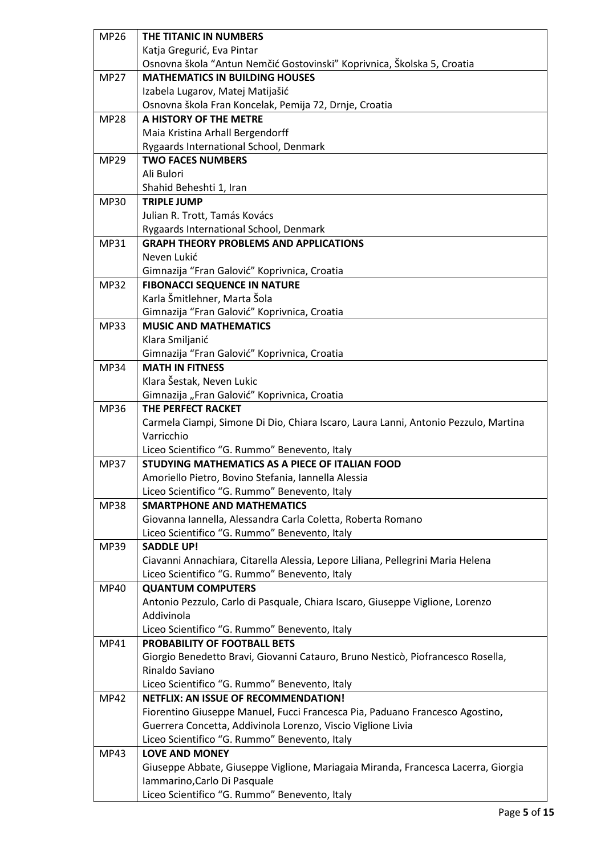| <b>MP26</b> | THE TITANIC IN NUMBERS                                                              |
|-------------|-------------------------------------------------------------------------------------|
|             | Katja Gregurić, Eva Pintar                                                          |
|             | Osnovna škola "Antun Nemčić Gostovinski" Koprivnica, Školska 5, Croatia             |
| <b>MP27</b> | <b>MATHEMATICS IN BUILDING HOUSES</b>                                               |
|             | Izabela Lugarov, Matej Matijašić                                                    |
|             | Osnovna škola Fran Koncelak, Pemija 72, Drnje, Croatia                              |
| <b>MP28</b> | A HISTORY OF THE METRE                                                              |
|             | Maia Kristina Arhall Bergendorff                                                    |
|             | Rygaards International School, Denmark                                              |
| <b>MP29</b> | <b>TWO FACES NUMBERS</b>                                                            |
|             | Ali Bulori                                                                          |
|             | Shahid Beheshti 1, Iran                                                             |
| <b>MP30</b> | <b>TRIPLE JUMP</b>                                                                  |
|             | Julian R. Trott, Tamás Kovács                                                       |
|             | Rygaards International School, Denmark                                              |
| <b>MP31</b> | <b>GRAPH THEORY PROBLEMS AND APPLICATIONS</b>                                       |
|             | Neven Lukić                                                                         |
|             | Gimnazija "Fran Galović" Koprivnica, Croatia                                        |
| <b>MP32</b> | <b>FIBONACCI SEQUENCE IN NATURE</b>                                                 |
|             | Karla Šmitlehner, Marta Šola                                                        |
|             | Gimnazija "Fran Galović" Koprivnica, Croatia                                        |
| <b>MP33</b> | <b>MUSIC AND MATHEMATICS</b>                                                        |
|             | Klara Smiljanić                                                                     |
|             | Gimnazija "Fran Galović" Koprivnica, Croatia                                        |
| <b>MP34</b> | <b>MATH IN FITNESS</b>                                                              |
|             | Klara Šestak, Neven Lukic                                                           |
|             | Gimnazija "Fran Galović" Koprivnica, Croatia                                        |
| MP36        | THE PERFECT RACKET                                                                  |
|             | Carmela Ciampi, Simone Di Dio, Chiara Iscaro, Laura Lanni, Antonio Pezzulo, Martina |
|             | Varricchio                                                                          |
|             | Liceo Scientifico "G. Rummo" Benevento, Italy                                       |
| <b>MP37</b> | STUDYING MATHEMATICS AS A PIECE OF ITALIAN FOOD                                     |
|             | Amoriello Pietro, Bovino Stefania, Iannella Alessia                                 |
|             | Liceo Scientifico "G. Rummo" Benevento, Italy                                       |
|             | <b>SMARTPHONE AND MATHEMATICS</b>                                                   |
| <b>MP38</b> |                                                                                     |
|             | Giovanna Iannella, Alessandra Carla Coletta, Roberta Romano                         |
|             | Liceo Scientifico "G. Rummo" Benevento, Italy                                       |
| MP39        | <b>SADDLE UP!</b>                                                                   |
|             | Ciavanni Annachiara, Citarella Alessia, Lepore Liliana, Pellegrini Maria Helena     |
|             | Liceo Scientifico "G. Rummo" Benevento, Italy                                       |
| <b>MP40</b> | <b>QUANTUM COMPUTERS</b>                                                            |
|             | Antonio Pezzulo, Carlo di Pasquale, Chiara Iscaro, Giuseppe Viglione, Lorenzo       |
|             | Addivinola                                                                          |
|             | Liceo Scientifico "G. Rummo" Benevento, Italy                                       |
| MP41        | PROBABILITY OF FOOTBALL BETS                                                        |
|             | Giorgio Benedetto Bravi, Giovanni Catauro, Bruno Nesticò, Piofrancesco Rosella,     |
|             | Rinaldo Saviano                                                                     |
|             | Liceo Scientifico "G. Rummo" Benevento, Italy                                       |
| <b>MP42</b> | <b>NETFLIX: AN ISSUE OF RECOMMENDATION!</b>                                         |
|             | Fiorentino Giuseppe Manuel, Fucci Francesca Pia, Paduano Francesco Agostino,        |
|             | Guerrera Concetta, Addivinola Lorenzo, Viscio Viglione Livia                        |
|             | Liceo Scientifico "G. Rummo" Benevento, Italy                                       |
| MP43        | <b>LOVE AND MONEY</b>                                                               |
|             | Giuseppe Abbate, Giuseppe Viglione, Mariagaia Miranda, Francesca Lacerra, Giorgia   |
|             | Iammarino, Carlo Di Pasquale                                                        |
|             | Liceo Scientifico "G. Rummo" Benevento, Italy                                       |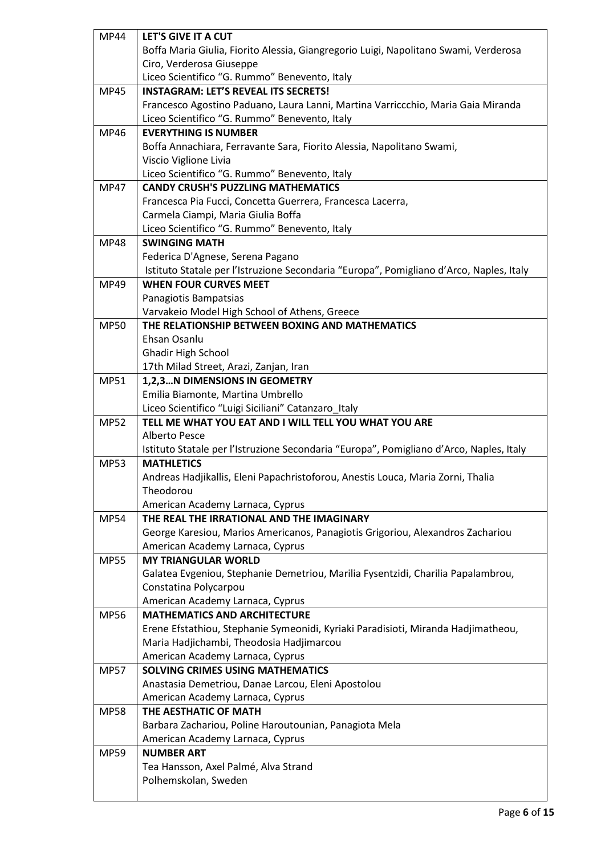| <b>MP44</b> | LET'S GIVE IT A CUT                                                                     |
|-------------|-----------------------------------------------------------------------------------------|
|             | Boffa Maria Giulia, Fiorito Alessia, Giangregorio Luigi, Napolitano Swami, Verderosa    |
|             | Ciro, Verderosa Giuseppe                                                                |
|             | Liceo Scientifico "G. Rummo" Benevento, Italy                                           |
| <b>MP45</b> | <b>INSTAGRAM: LET'S REVEAL ITS SECRETS!</b>                                             |
|             | Francesco Agostino Paduano, Laura Lanni, Martina Varriccchio, Maria Gaia Miranda        |
|             | Liceo Scientifico "G. Rummo" Benevento, Italy                                           |
| MP46        | <b>EVERYTHING IS NUMBER</b>                                                             |
|             | Boffa Annachiara, Ferravante Sara, Fiorito Alessia, Napolitano Swami,                   |
|             | Viscio Viglione Livia                                                                   |
|             | Liceo Scientifico "G. Rummo" Benevento, Italy                                           |
| <b>MP47</b> | <b>CANDY CRUSH'S PUZZLING MATHEMATICS</b>                                               |
|             | Francesca Pia Fucci, Concetta Guerrera, Francesca Lacerra,                              |
|             | Carmela Ciampi, Maria Giulia Boffa                                                      |
|             | Liceo Scientifico "G. Rummo" Benevento, Italy                                           |
| <b>MP48</b> | <b>SWINGING MATH</b>                                                                    |
|             | Federica D'Agnese, Serena Pagano                                                        |
|             | Istituto Statale per l'Istruzione Secondaria "Europa", Pomigliano d'Arco, Naples, Italy |
| MP49        | <b>WHEN FOUR CURVES MEET</b>                                                            |
|             | Panagiotis Bampatsias                                                                   |
|             | Varvakeio Model High School of Athens, Greece                                           |
| <b>MP50</b> | THE RELATIONSHIP BETWEEN BOXING AND MATHEMATICS                                         |
|             | Ehsan Osanlu                                                                            |
|             | Ghadir High School                                                                      |
|             | 17th Milad Street, Arazi, Zanjan, Iran                                                  |
| MP51        | 1,2,3N DIMENSIONS IN GEOMETRY                                                           |
|             | Emilia Biamonte, Martina Umbrello                                                       |
|             | Liceo Scientifico "Luigi Siciliani" Catanzaro_Italy                                     |
|             |                                                                                         |
| <b>MP52</b> | TELL ME WHAT YOU EAT AND I WILL TELL YOU WHAT YOU ARE                                   |
|             | Alberto Pesce                                                                           |
|             | Istituto Statale per l'Istruzione Secondaria "Europa", Pomigliano d'Arco, Naples, Italy |
| <b>MP53</b> | <b>MATHLETICS</b>                                                                       |
|             | Andreas Hadjikallis, Eleni Papachristoforou, Anestis Louca, Maria Zorni, Thalia         |
|             | Theodorou                                                                               |
|             | American Academy Larnaca, Cyprus                                                        |
| <b>MP54</b> | THE REAL THE IRRATIONAL AND THE IMAGINARY                                               |
|             | George Karesiou, Marios Americanos, Panagiotis Grigoriou, Alexandros Zachariou          |
|             | American Academy Larnaca, Cyprus                                                        |
| <b>MP55</b> | <b>MY TRIANGULAR WORLD</b>                                                              |
|             | Galatea Evgeniou, Stephanie Demetriou, Marilia Fysentzidi, Charilia Papalambrou,        |
|             | Constatina Polycarpou                                                                   |
|             | American Academy Larnaca, Cyprus                                                        |
| <b>MP56</b> | <b>MATHEMATICS AND ARCHITECTURE</b>                                                     |
|             | Erene Efstathiou, Stephanie Symeonidi, Kyriaki Paradisioti, Miranda Hadjimatheou,       |
|             | Maria Hadjichambi, Theodosia Hadjimarcou                                                |
|             | American Academy Larnaca, Cyprus                                                        |
| <b>MP57</b> | <b>SOLVING CRIMES USING MATHEMATICS</b>                                                 |
|             | Anastasia Demetriou, Danae Larcou, Eleni Apostolou                                      |
|             | American Academy Larnaca, Cyprus                                                        |
| <b>MP58</b> | THE AESTHATIC OF MATH                                                                   |
|             | Barbara Zachariou, Poline Haroutounian, Panagiota Mela                                  |
|             | American Academy Larnaca, Cyprus                                                        |
| <b>MP59</b> | <b>NUMBER ART</b>                                                                       |
|             | Tea Hansson, Axel Palmé, Alva Strand                                                    |
|             | Polhemskolan, Sweden                                                                    |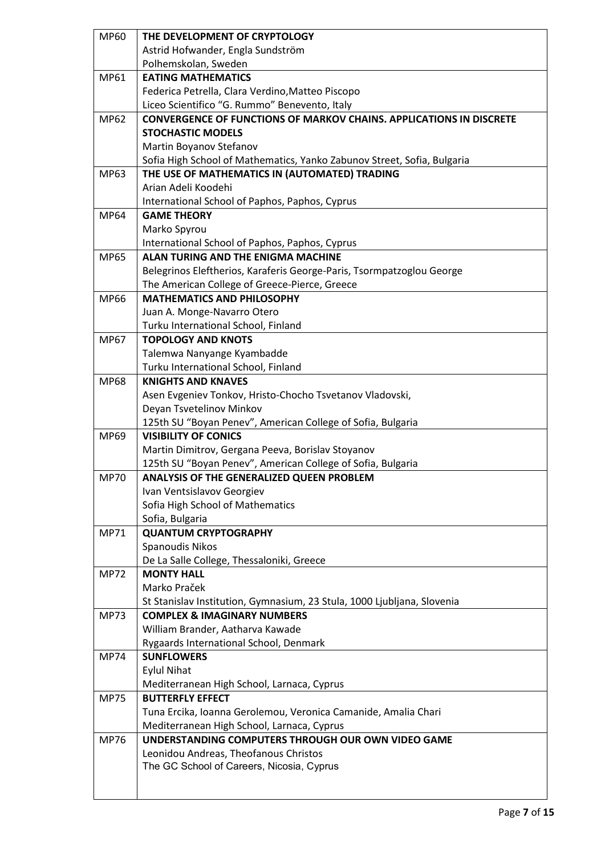| <b>MP60</b> | THE DEVELOPMENT OF CRYPTOLOGY                                                              |
|-------------|--------------------------------------------------------------------------------------------|
|             | Astrid Hofwander, Engla Sundström                                                          |
|             | Polhemskolan, Sweden                                                                       |
| MP61        | <b>EATING MATHEMATICS</b>                                                                  |
|             | Federica Petrella, Clara Verdino, Matteo Piscopo                                           |
|             | Liceo Scientifico "G. Rummo" Benevento, Italy                                              |
| MP62        | <b>CONVERGENCE OF FUNCTIONS OF MARKOV CHAINS. APPLICATIONS IN DISCRETE</b>                 |
|             | <b>STOCHASTIC MODELS</b>                                                                   |
|             | Martin Boyanov Stefanov                                                                    |
|             | Sofia High School of Mathematics, Yanko Zabunov Street, Sofia, Bulgaria                    |
| MP63        | THE USE OF MATHEMATICS IN (AUTOMATED) TRADING                                              |
|             | Arian Adeli Koodehi                                                                        |
|             | International School of Paphos, Paphos, Cyprus                                             |
| <b>MP64</b> | <b>GAME THEORY</b>                                                                         |
|             | Marko Spyrou                                                                               |
|             | International School of Paphos, Paphos, Cyprus                                             |
| <b>MP65</b> | <b>ALAN TURING AND THE ENIGMA MACHINE</b>                                                  |
|             | Belegrinos Eleftherios, Karaferis George-Paris, Tsormpatzoglou George                      |
|             | The American College of Greece-Pierce, Greece                                              |
| <b>MP66</b> | <b>MATHEMATICS AND PHILOSOPHY</b>                                                          |
|             | Juan A. Monge-Navarro Otero                                                                |
|             | Turku International School, Finland                                                        |
| <b>MP67</b> | <b>TOPOLOGY AND KNOTS</b>                                                                  |
|             | Talemwa Nanyange Kyambadde                                                                 |
|             | Turku International School, Finland                                                        |
| <b>MP68</b> | <b>KNIGHTS AND KNAVES</b>                                                                  |
|             | Asen Evgeniev Tonkov, Hristo-Chocho Tsvetanov Vladovski,                                   |
|             | Deyan Tsvetelinov Minkov                                                                   |
| MP69        | 125th SU "Boyan Penev", American College of Sofia, Bulgaria<br><b>VISIBILITY OF CONICS</b> |
|             | Martin Dimitrov, Gergana Peeva, Borislav Stoyanov                                          |
|             | 125th SU "Boyan Penev", American College of Sofia, Bulgaria                                |
| <b>MP70</b> | <b>ANALYSIS OF THE GENERALIZED QUEEN PROBLEM</b>                                           |
|             | Ivan Ventsislavov Georgiev                                                                 |
|             | Sofia High School of Mathematics                                                           |
|             | Sofia, Bulgaria                                                                            |
| <b>MP71</b> | <b>QUANTUM CRYPTOGRAPHY</b>                                                                |
|             | Spanoudis Nikos                                                                            |
|             | De La Salle College, Thessaloniki, Greece                                                  |
| <b>MP72</b> | <b>MONTY HALL</b>                                                                          |
|             | Marko Praček                                                                               |
|             | St Stanislav Institution, Gymnasium, 23 Stula, 1000 Ljubljana, Slovenia                    |
| <b>MP73</b> | <b>COMPLEX &amp; IMAGINARY NUMBERS</b>                                                     |
|             | William Brander, Aatharva Kawade                                                           |
|             | Rygaards International School, Denmark                                                     |
| <b>MP74</b> | <b>SUNFLOWERS</b>                                                                          |
|             | <b>Eylul Nihat</b>                                                                         |
|             | Mediterranean High School, Larnaca, Cyprus                                                 |
| <b>MP75</b> | <b>BUTTERFLY EFFECT</b>                                                                    |
|             | Tuna Ercika, Ioanna Gerolemou, Veronica Camanide, Amalia Chari                             |
|             | Mediterranean High School, Larnaca, Cyprus                                                 |
| <b>MP76</b> | UNDERSTANDING COMPUTERS THROUGH OUR OWN VIDEO GAME                                         |
|             | Leonidou Andreas, Theofanous Christos                                                      |
|             | The GC School of Careers, Nicosia, Cyprus                                                  |
|             |                                                                                            |
|             |                                                                                            |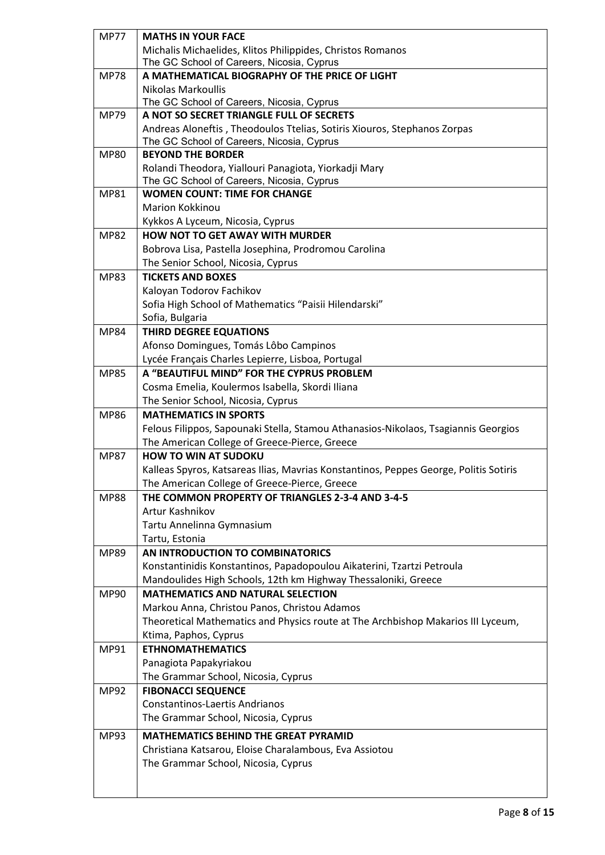| <b>MP77</b> | <b>MATHS IN YOUR FACE</b>                                                                                                              |
|-------------|----------------------------------------------------------------------------------------------------------------------------------------|
|             | Michalis Michaelides, Klitos Philippides, Christos Romanos                                                                             |
|             | The GC School of Careers, Nicosia, Cyprus                                                                                              |
| <b>MP78</b> | A MATHEMATICAL BIOGRAPHY OF THE PRICE OF LIGHT                                                                                         |
|             | <b>Nikolas Markoullis</b>                                                                                                              |
|             | The GC School of Careers, Nicosia, Cyprus                                                                                              |
| <b>MP79</b> | A NOT SO SECRET TRIANGLE FULL OF SECRETS                                                                                               |
|             | Andreas Aloneftis, Theodoulos Ttelias, Sotiris Xiouros, Stephanos Zorpas                                                               |
|             | The GC School of Careers, Nicosia, Cyprus                                                                                              |
| <b>MP80</b> | <b>BEYOND THE BORDER</b>                                                                                                               |
|             | Rolandi Theodora, Yiallouri Panagiota, Yiorkadji Mary                                                                                  |
|             | The GC School of Careers, Nicosia, Cyprus                                                                                              |
| <b>MP81</b> | <b>WOMEN COUNT: TIME FOR CHANGE</b>                                                                                                    |
|             | Marion Kokkinou                                                                                                                        |
|             | Kykkos A Lyceum, Nicosia, Cyprus                                                                                                       |
| <b>MP82</b> | <b>HOW NOT TO GET AWAY WITH MURDER</b>                                                                                                 |
|             | Bobrova Lisa, Pastella Josephina, Prodromou Carolina                                                                                   |
|             | The Senior School, Nicosia, Cyprus                                                                                                     |
| <b>MP83</b> | <b>TICKETS AND BOXES</b>                                                                                                               |
|             | Kaloyan Todorov Fachikov                                                                                                               |
|             | Sofia High School of Mathematics "Paisii Hilendarski"                                                                                  |
|             | Sofia, Bulgaria                                                                                                                        |
| <b>MP84</b> | <b>THIRD DEGREE EQUATIONS</b>                                                                                                          |
|             | Afonso Domingues, Tomás Lôbo Campinos                                                                                                  |
|             | Lycée Français Charles Lepierre, Lisboa, Portugal                                                                                      |
| <b>MP85</b> | A "BEAUTIFUL MIND" FOR THE CYPRUS PROBLEM                                                                                              |
|             | Cosma Emelia, Koulermos Isabella, Skordi Iliana                                                                                        |
|             | The Senior School, Nicosia, Cyprus                                                                                                     |
| <b>MP86</b> | <b>MATHEMATICS IN SPORTS</b>                                                                                                           |
|             | Felous Filippos, Sapounaki Stella, Stamou Athanasios-Nikolaos, Tsagiannis Georgios                                                     |
|             | The American College of Greece-Pierce, Greece<br><b>HOW TO WIN AT SUDOKU</b>                                                           |
| <b>MP87</b> |                                                                                                                                        |
|             | Kalleas Spyros, Katsareas Ilias, Mavrias Konstantinos, Peppes George, Politis Sotiris<br>The American College of Greece-Pierce, Greece |
| <b>MP88</b> | THE COMMON PROPERTY OF TRIANGLES 2-3-4 AND 3-4-5                                                                                       |
|             | Artur Kashnikov                                                                                                                        |
|             | Tartu Annelinna Gymnasium                                                                                                              |
|             | Tartu, Estonia                                                                                                                         |
| MP89        | AN INTRODUCTION TO COMBINATORICS                                                                                                       |
|             | Konstantinidis Konstantinos, Papadopoulou Aikaterini, Tzartzi Petroula                                                                 |
|             | Mandoulides High Schools, 12th km Highway Thessaloniki, Greece                                                                         |
| MP90        | <b>MATHEMATICS AND NATURAL SELECTION</b>                                                                                               |
|             | Markou Anna, Christou Panos, Christou Adamos                                                                                           |
|             | Theoretical Mathematics and Physics route at The Archbishop Makarios III Lyceum,                                                       |
|             | Ktima, Paphos, Cyprus                                                                                                                  |
| MP91        | <b>ETHNOMATHEMATICS</b>                                                                                                                |
|             | Panagiota Papakyriakou                                                                                                                 |
|             | The Grammar School, Nicosia, Cyprus                                                                                                    |
| <b>MP92</b> | <b>FIBONACCI SEQUENCE</b>                                                                                                              |
|             | <b>Constantinos-Laertis Andrianos</b>                                                                                                  |
|             | The Grammar School, Nicosia, Cyprus                                                                                                    |
|             | <b>MATHEMATICS BEHIND THE GREAT PYRAMID</b>                                                                                            |
| MP93        | Christiana Katsarou, Eloise Charalambous, Eva Assiotou                                                                                 |
|             | The Grammar School, Nicosia, Cyprus                                                                                                    |
|             |                                                                                                                                        |
|             |                                                                                                                                        |
|             |                                                                                                                                        |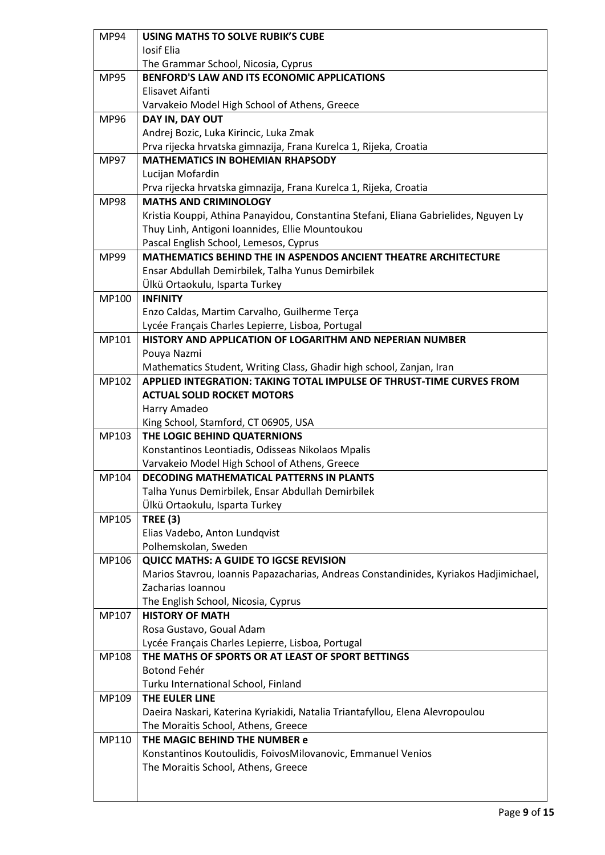| <b>MP94</b> | <b>USING MATHS TO SOLVE RUBIK'S CUBE</b>                                              |
|-------------|---------------------------------------------------------------------------------------|
|             | Iosif Elia                                                                            |
|             | The Grammar School, Nicosia, Cyprus                                                   |
| <b>MP95</b> | BENFORD'S LAW AND ITS ECONOMIC APPLICATIONS                                           |
|             | Elisavet Aifanti                                                                      |
|             | Varvakeio Model High School of Athens, Greece                                         |
| MP96        | DAY IN, DAY OUT                                                                       |
|             | Andrej Bozic, Luka Kirincic, Luka Zmak                                                |
|             | Prva rijecka hrvatska gimnazija, Frana Kurelca 1, Rijeka, Croatia                     |
| <b>MP97</b> | <b>MATHEMATICS IN BOHEMIAN RHAPSODY</b>                                               |
|             | Lucijan Mofardin                                                                      |
|             | Prva rijecka hrvatska gimnazija, Frana Kurelca 1, Rijeka, Croatia                     |
| <b>MP98</b> | <b>MATHS AND CRIMINOLOGY</b>                                                          |
|             | Kristia Kouppi, Athina Panayidou, Constantina Stefani, Eliana Gabrielides, Nguyen Ly  |
|             | Thuy Linh, Antigoni Ioannides, Ellie Mountoukou                                       |
|             | Pascal English School, Lemesos, Cyprus                                                |
| MP99        | <b>MATHEMATICS BEHIND THE IN ASPENDOS ANCIENT THEATRE ARCHITECTURE</b>                |
|             | Ensar Abdullah Demirbilek, Talha Yunus Demirbilek                                     |
|             | Ülkü Ortaokulu, Isparta Turkey                                                        |
| MP100       | <b>INFINITY</b>                                                                       |
|             | Enzo Caldas, Martim Carvalho, Guilherme Terça                                         |
|             | Lycée Français Charles Lepierre, Lisboa, Portugal                                     |
| MP101       | HISTORY AND APPLICATION OF LOGARITHM AND NEPERIAN NUMBER                              |
|             | Pouya Nazmi                                                                           |
|             | Mathematics Student, Writing Class, Ghadir high school, Zanjan, Iran                  |
| MP102       | APPLIED INTEGRATION: TAKING TOTAL IMPULSE OF THRUST-TIME CURVES FROM                  |
|             | <b>ACTUAL SOLID ROCKET MOTORS</b>                                                     |
|             | Harry Amadeo                                                                          |
|             | King School, Stamford, CT 06905, USA                                                  |
| MP103       | THE LOGIC BEHIND QUATERNIONS                                                          |
|             | Konstantinos Leontiadis, Odisseas Nikolaos Mpalis                                     |
|             | Varvakeio Model High School of Athens, Greece                                         |
| MP104       | <b>DECODING MATHEMATICAL PATTERNS IN PLANTS</b>                                       |
|             | Talha Yunus Demirbilek, Ensar Abdullah Demirbilek                                     |
|             | Ülkü Ortaokulu, Isparta Turkey                                                        |
| MP105       | <b>TREE (3)</b>                                                                       |
|             | Elias Vadebo, Anton Lundqvist                                                         |
|             | Polhemskolan, Sweden                                                                  |
| MP106       | <b>QUICC MATHS: A GUIDE TO IGCSE REVISION</b>                                         |
|             | Marios Stavrou, Ioannis Papazacharias, Andreas Constandinides, Kyriakos Hadjimichael, |
|             | Zacharias Ioannou                                                                     |
|             | The English School, Nicosia, Cyprus                                                   |
| MP107       | <b>HISTORY OF MATH</b>                                                                |
|             | Rosa Gustavo, Goual Adam                                                              |
|             | Lycée Français Charles Lepierre, Lisboa, Portugal                                     |
| MP108       | THE MATHS OF SPORTS OR AT LEAST OF SPORT BETTINGS                                     |
|             | Botond Fehér                                                                          |
|             | Turku International School, Finland                                                   |
| MP109       | THE EULER LINE                                                                        |
|             | Daeira Naskari, Katerina Kyriakidi, Natalia Triantafyllou, Elena Alevropoulou         |
|             | The Moraitis School, Athens, Greece                                                   |
| MP110       | THE MAGIC BEHIND THE NUMBER e                                                         |
|             | Konstantinos Koutoulidis, FoivosMilovanovic, Emmanuel Venios                          |
|             | The Moraitis School, Athens, Greece                                                   |
|             |                                                                                       |
|             |                                                                                       |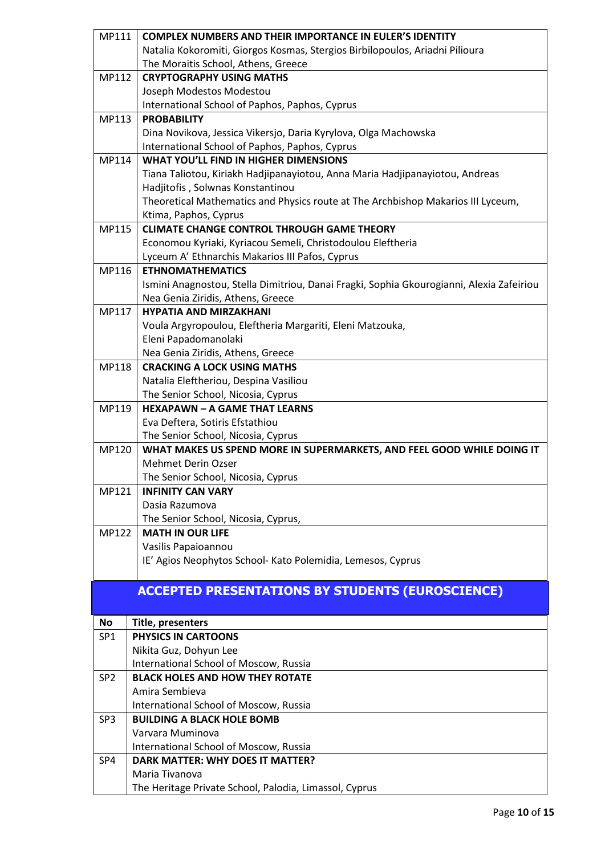| MP111           | <b>COMPLEX NUMBERS AND THEIR IMPORTANCE IN EULER'S IDENTITY</b>                          |
|-----------------|------------------------------------------------------------------------------------------|
|                 | Natalia Kokoromiti, Giorgos Kosmas, Stergios Birbilopoulos, Ariadni Pilioura             |
|                 | The Moraitis School, Athens, Greece                                                      |
| MP112           | <b>CRYPTOGRAPHY USING MATHS</b>                                                          |
|                 | Joseph Modestos Modestou                                                                 |
|                 | International School of Paphos, Paphos, Cyprus                                           |
| MP113           | <b>PROBABILITY</b>                                                                       |
|                 | Dina Novikova, Jessica Vikersjo, Daria Kyrylova, Olga Machowska                          |
|                 | International School of Paphos, Paphos, Cyprus                                           |
| MP114           | <b>WHAT YOU'LL FIND IN HIGHER DIMENSIONS</b>                                             |
|                 | Tiana Taliotou, Kiriakh Hadjipanayiotou, Anna Maria Hadjipanayiotou, Andreas             |
|                 | Hadjitofis, Solwnas Konstantinou                                                         |
|                 | Theoretical Mathematics and Physics route at The Archbishop Makarios III Lyceum,         |
|                 | Ktima, Paphos, Cyprus                                                                    |
| MP115           | <b>CLIMATE CHANGE CONTROL THROUGH GAME THEORY</b>                                        |
|                 | Economou Kyriaki, Kyriacou Semeli, Christodoulou Eleftheria                              |
|                 | Lyceum A' Ethnarchis Makarios III Pafos, Cyprus                                          |
| MP116           | <b>ETHNOMATHEMATICS</b>                                                                  |
|                 | Ismini Anagnostou, Stella Dimitriou, Danai Fragki, Sophia Gkourogianni, Alexia Zafeiriou |
|                 | Nea Genia Ziridis, Athens, Greece                                                        |
| MP117           | <b>HYPATIA AND MIRZAKHANI</b>                                                            |
|                 | Voula Argyropoulou, Eleftheria Margariti, Eleni Matzouka,                                |
|                 | Eleni Papadomanolaki                                                                     |
|                 | Nea Genia Ziridis, Athens, Greece                                                        |
| MP118           | <b>CRACKING A LOCK USING MATHS</b>                                                       |
|                 | Natalia Eleftheriou, Despina Vasiliou                                                    |
|                 | The Senior School, Nicosia, Cyprus                                                       |
| MP119           | <b>HEXAPAWN - A GAME THAT LEARNS</b>                                                     |
|                 | Eva Deftera, Sotiris Efstathiou                                                          |
|                 | The Senior School, Nicosia, Cyprus                                                       |
| MP120           | WHAT MAKES US SPEND MORE IN SUPERMARKETS, AND FEEL GOOD WHILE DOING IT                   |
|                 | <b>Mehmet Derin Ozser</b>                                                                |
|                 | The Senior School, Nicosia, Cyprus                                                       |
| MP121           | <b>INFINITY CAN VARY</b>                                                                 |
|                 | Dasia Razumova                                                                           |
|                 | The Senior School, Nicosia, Cyprus,                                                      |
| MP122           | <b>MATH IN OUR LIFE</b>                                                                  |
|                 | Vasilis Papaioannou                                                                      |
|                 | IE' Agios Neophytos School- Kato Polemidia, Lemesos, Cyprus                              |
|                 |                                                                                          |
|                 |                                                                                          |
|                 | <b>ACCEPTED PRESENTATIONS BY STUDENTS (EUROSCIENCE)</b>                                  |
|                 |                                                                                          |
| No              | Title, presenters                                                                        |
| SP <sub>1</sub> | PHYSICS IN CARTOONS                                                                      |
|                 | Nikita Guz, Dohyun Lee                                                                   |
|                 | International School of Moscow, Russia                                                   |
| SP <sub>2</sub> | <b>BLACK HOLES AND HOW THEY ROTATE</b>                                                   |
|                 | Amira Sembieva                                                                           |
|                 | International School of Moscow, Russia                                                   |
| SP <sub>3</sub> | <b>BUILDING A BLACK HOLE BOMB</b>                                                        |
|                 | Varvara Muminova                                                                         |
|                 | International School of Moscow, Russia                                                   |
| SP4             | <b>DARK MATTER: WHY DOES IT MATTER?</b>                                                  |
|                 | Maria Tivanova                                                                           |
|                 | The Heritage Private School, Palodia, Limassol, Cyprus                                   |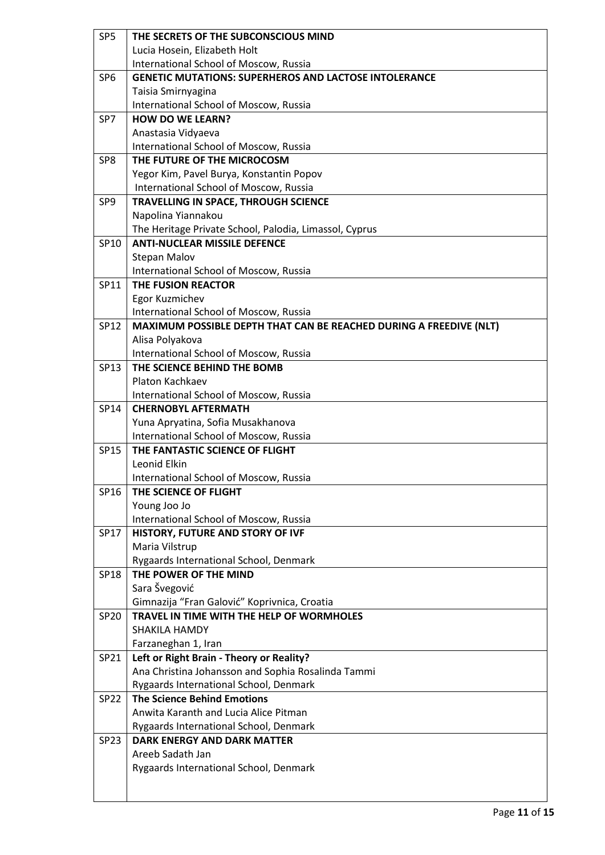| SP <sub>5</sub> | THE SECRETS OF THE SUBCONSCIOUS MIND                               |
|-----------------|--------------------------------------------------------------------|
|                 | Lucia Hosein, Elizabeth Holt                                       |
|                 | International School of Moscow, Russia                             |
| SP <sub>6</sub> | <b>GENETIC MUTATIONS: SUPERHEROS AND LACTOSE INTOLERANCE</b>       |
|                 | Taisia Smirnyagina                                                 |
|                 | International School of Moscow, Russia                             |
| SP7             | <b>HOW DO WE LEARN?</b>                                            |
|                 | Anastasia Vidyaeva                                                 |
|                 | International School of Moscow, Russia                             |
| SP8             | THE FUTURE OF THE MICROCOSM                                        |
|                 | Yegor Kim, Pavel Burya, Konstantin Popov                           |
|                 | International School of Moscow, Russia                             |
| SP9             | TRAVELLING IN SPACE, THROUGH SCIENCE                               |
|                 | Napolina Yiannakou                                                 |
|                 | The Heritage Private School, Palodia, Limassol, Cyprus             |
| SP10            | <b>ANTI-NUCLEAR MISSILE DEFENCE</b>                                |
|                 | <b>Stepan Malov</b>                                                |
|                 | International School of Moscow, Russia                             |
| SP11            | THE FUSION REACTOR                                                 |
|                 | Egor Kuzmichev                                                     |
|                 | International School of Moscow, Russia                             |
| SP12            | MAXIMUM POSSIBLE DEPTH THAT CAN BE REACHED DURING A FREEDIVE (NLT) |
|                 | Alisa Polyakova                                                    |
|                 | International School of Moscow, Russia                             |
| SP13            | THE SCIENCE BEHIND THE BOMB                                        |
|                 | Platon Kachkaev                                                    |
|                 | International School of Moscow, Russia                             |
| SP14            | <b>CHERNOBYL AFTERMATH</b>                                         |
|                 | Yuna Apryatina, Sofia Musakhanova                                  |
|                 | International School of Moscow, Russia                             |
| <b>SP15</b>     | THE FANTASTIC SCIENCE OF FLIGHT                                    |
|                 | Leonid Elkin                                                       |
|                 | International School of Moscow, Russia                             |
| SP16            | THE SCIENCE OF FLIGHT                                              |
|                 | Young Joo Jo                                                       |
|                 | International School of Moscow, Russia                             |
| SP17            | HISTORY, FUTURE AND STORY OF IVF                                   |
|                 | Maria Vilstrup                                                     |
| SP18            | Rygaards International School, Denmark<br>THE POWER OF THE MIND    |
|                 | Sara Švegović                                                      |
|                 | Gimnazija "Fran Galović" Koprivnica, Croatia                       |
| SP20            | TRAVEL IN TIME WITH THE HELP OF WORMHOLES                          |
|                 | SHAKILA HAMDY                                                      |
|                 | Farzaneghan 1, Iran                                                |
| SP21            | Left or Right Brain - Theory or Reality?                           |
|                 | Ana Christina Johansson and Sophia Rosalinda Tammi                 |
|                 | Rygaards International School, Denmark                             |
| <b>SP22</b>     | <b>The Science Behind Emotions</b>                                 |
|                 | Anwita Karanth and Lucia Alice Pitman                              |
|                 | Rygaards International School, Denmark                             |
| <b>SP23</b>     | <b>DARK ENERGY AND DARK MATTER</b>                                 |
|                 | Areeb Sadath Jan                                                   |
|                 | Rygaards International School, Denmark                             |
|                 |                                                                    |
|                 |                                                                    |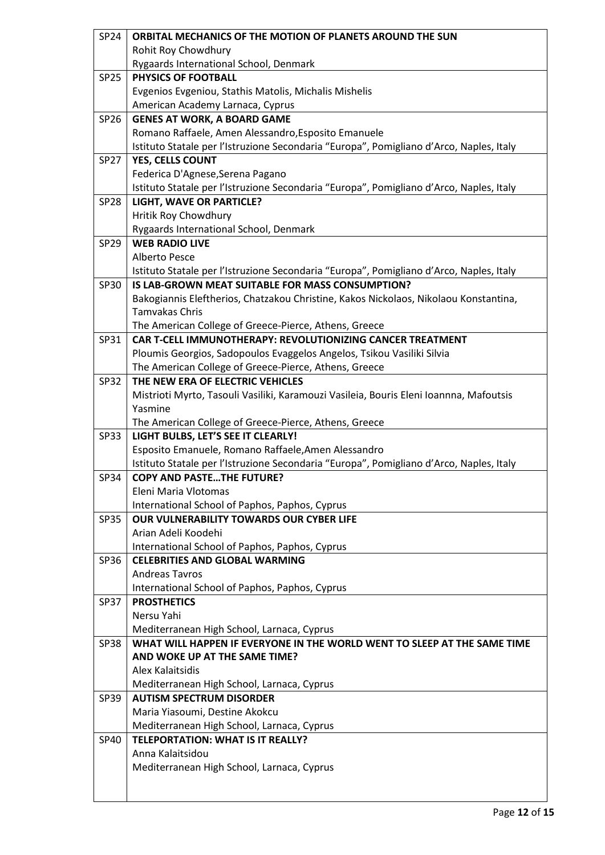| <b>SP24</b> | ORBITAL MECHANICS OF THE MOTION OF PLANETS AROUND THE SUN                                                     |
|-------------|---------------------------------------------------------------------------------------------------------------|
|             | Rohit Roy Chowdhury                                                                                           |
|             | Rygaards International School, Denmark                                                                        |
| <b>SP25</b> | <b>PHYSICS OF FOOTBALL</b>                                                                                    |
|             | Evgenios Evgeniou, Stathis Matolis, Michalis Mishelis                                                         |
|             | American Academy Larnaca, Cyprus                                                                              |
| SP26        | <b>GENES AT WORK, A BOARD GAME</b>                                                                            |
|             | Romano Raffaele, Amen Alessandro, Esposito Emanuele                                                           |
|             | Istituto Statale per l'Istruzione Secondaria "Europa", Pomigliano d'Arco, Naples, Italy                       |
| <b>SP27</b> | YES, CELLS COUNT                                                                                              |
|             | Federica D'Agnese, Serena Pagano                                                                              |
|             | Istituto Statale per l'Istruzione Secondaria "Europa", Pomigliano d'Arco, Naples, Italy                       |
| <b>SP28</b> | LIGHT, WAVE OR PARTICLE?                                                                                      |
|             | Hritik Roy Chowdhury                                                                                          |
|             | Rygaards International School, Denmark                                                                        |
| <b>SP29</b> | <b>WEB RADIO LIVE</b>                                                                                         |
|             | Alberto Pesce                                                                                                 |
|             | Istituto Statale per l'Istruzione Secondaria "Europa", Pomigliano d'Arco, Naples, Italy                       |
| SP30        | IS LAB-GROWN MEAT SUITABLE FOR MASS CONSUMPTION?                                                              |
|             | Bakogiannis Eleftherios, Chatzakou Christine, Kakos Nickolaos, Nikolaou Konstantina,<br><b>Tamvakas Chris</b> |
|             | The American College of Greece-Pierce, Athens, Greece                                                         |
| SP31        | <b>CAR T-CELL IMMUNOTHERAPY: REVOLUTIONIZING CANCER TREATMENT</b>                                             |
|             | Ploumis Georgios, Sadopoulos Evaggelos Angelos, Tsikou Vasiliki Silvia                                        |
|             | The American College of Greece-Pierce, Athens, Greece                                                         |
| <b>SP32</b> | THE NEW ERA OF ELECTRIC VEHICLES                                                                              |
|             | Mistrioti Myrto, Tasouli Vasiliki, Karamouzi Vasileia, Bouris Eleni Ioannna, Mafoutsis                        |
|             | Yasmine                                                                                                       |
|             | The American College of Greece-Pierce, Athens, Greece                                                         |
| <b>SP33</b> | LIGHT BULBS, LET'S SEE IT CLEARLY!                                                                            |
|             | Esposito Emanuele, Romano Raffaele, Amen Alessandro                                                           |
|             | Istituto Statale per l'Istruzione Secondaria "Europa", Pomigliano d'Arco, Naples, Italy                       |
| <b>SP34</b> | <b>COPY AND PASTETHE FUTURE?</b>                                                                              |
|             | Eleni Maria Vlotomas                                                                                          |
|             | International School of Paphos, Paphos, Cyprus                                                                |
| <b>SP35</b> | <b>OUR VULNERABILITY TOWARDS OUR CYBER LIFE</b>                                                               |
|             | Arian Adeli Koodehi                                                                                           |
|             | International School of Paphos, Paphos, Cyprus                                                                |
| SP36        | <b>CELEBRITIES AND GLOBAL WARMING</b>                                                                         |
|             | <b>Andreas Tavros</b>                                                                                         |
|             | International School of Paphos, Paphos, Cyprus                                                                |
| <b>SP37</b> | <b>PROSTHETICS</b><br>Nersu Yahi                                                                              |
|             | Mediterranean High School, Larnaca, Cyprus                                                                    |
| <b>SP38</b> | WHAT WILL HAPPEN IF EVERYONE IN THE WORLD WENT TO SLEEP AT THE SAME TIME                                      |
|             | AND WOKE UP AT THE SAME TIME?                                                                                 |
|             | Alex Kalaitsidis                                                                                              |
|             | Mediterranean High School, Larnaca, Cyprus                                                                    |
| <b>SP39</b> | <b>AUTISM SPECTRUM DISORDER</b>                                                                               |
|             | Maria Yiasoumi, Destine Akokcu                                                                                |
|             | Mediterranean High School, Larnaca, Cyprus                                                                    |
| <b>SP40</b> | <b>TELEPORTATION: WHAT IS IT REALLY?</b>                                                                      |
|             | Anna Kalaitsidou                                                                                              |
|             | Mediterranean High School, Larnaca, Cyprus                                                                    |
|             |                                                                                                               |
|             |                                                                                                               |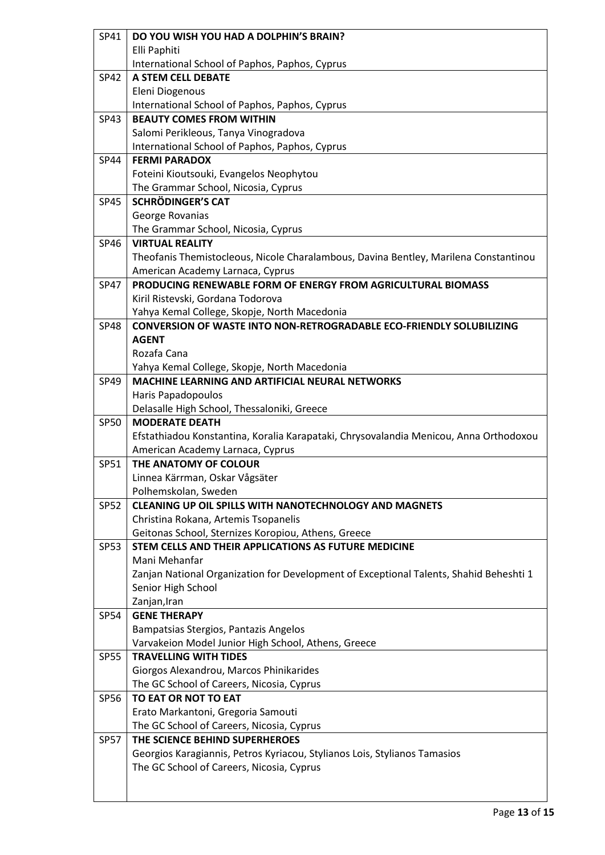| SP41        | DO YOU WISH YOU HAD A DOLPHIN'S BRAIN?                                                 |
|-------------|----------------------------------------------------------------------------------------|
|             | Elli Paphiti                                                                           |
|             | International School of Paphos, Paphos, Cyprus                                         |
| <b>SP42</b> | A STEM CELL DEBATE                                                                     |
|             | Eleni Diogenous                                                                        |
|             | International School of Paphos, Paphos, Cyprus                                         |
| SP43        | <b>BEAUTY COMES FROM WITHIN</b>                                                        |
|             | Salomi Perikleous, Tanya Vinogradova                                                   |
|             | International School of Paphos, Paphos, Cyprus                                         |
| <b>SP44</b> | <b>FERMI PARADOX</b>                                                                   |
|             | Foteini Kioutsouki, Evangelos Neophytou                                                |
|             | The Grammar School, Nicosia, Cyprus                                                    |
| <b>SP45</b> | <b>SCHRÖDINGER'S CAT</b>                                                               |
|             | George Rovanias                                                                        |
|             | The Grammar School, Nicosia, Cyprus                                                    |
| <b>SP46</b> | <b>VIRTUAL REALITY</b>                                                                 |
|             | Theofanis Themistocleous, Nicole Charalambous, Davina Bentley, Marilena Constantinou   |
|             | American Academy Larnaca, Cyprus                                                       |
| <b>SP47</b> | PRODUCING RENEWABLE FORM OF ENERGY FROM AGRICULTURAL BIOMASS                           |
|             | Kiril Ristevski, Gordana Todorova                                                      |
|             | Yahya Kemal College, Skopje, North Macedonia                                           |
| <b>SP48</b> | <b>CONVERSION OF WASTE INTO NON-RETROGRADABLE ECO-FRIENDLY SOLUBILIZING</b>            |
|             | <b>AGENT</b>                                                                           |
|             | Rozafa Cana                                                                            |
|             | Yahya Kemal College, Skopje, North Macedonia                                           |
| SP49        | <b>MACHINE LEARNING AND ARTIFICIAL NEURAL NETWORKS</b>                                 |
|             | Haris Papadopoulos                                                                     |
|             | Delasalle High School, Thessaloniki, Greece                                            |
| <b>SP50</b> | <b>MODERATE DEATH</b>                                                                  |
|             |                                                                                        |
|             | Efstathiadou Konstantina, Koralia Karapataki, Chrysovalandia Menicou, Anna Orthodoxou  |
|             | American Academy Larnaca, Cyprus                                                       |
| SP51        | THE ANATOMY OF COLOUR                                                                  |
|             | Linnea Kärrman, Oskar Vågsäter                                                         |
|             | Polhemskolan, Sweden                                                                   |
| <b>SP52</b> | <b>CLEANING UP OIL SPILLS WITH NANOTECHNOLOGY AND MAGNETS</b>                          |
|             | Christina Rokana, Artemis Tsopanelis                                                   |
|             | Geitonas School, Sternizes Koropiou, Athens, Greece                                    |
| <b>SP53</b> | STEM CELLS AND THEIR APPLICATIONS AS FUTURE MEDICINE                                   |
|             | Mani Mehanfar                                                                          |
|             | Zanjan National Organization for Development of Exceptional Talents, Shahid Beheshti 1 |
|             | Senior High School                                                                     |
|             | Zanjan, Iran                                                                           |
| <b>SP54</b> | <b>GENE THERAPY</b>                                                                    |
|             | Bampatsias Stergios, Pantazis Angelos                                                  |
|             | Varvakeion Model Junior High School, Athens, Greece                                    |
| <b>SP55</b> | <b>TRAVELLING WITH TIDES</b>                                                           |
|             | Giorgos Alexandrou, Marcos Phinikarides                                                |
|             | The GC School of Careers, Nicosia, Cyprus                                              |
| <b>SP56</b> | TO EAT OR NOT TO EAT                                                                   |
|             | Erato Markantoni, Gregoria Samouti                                                     |
|             | The GC School of Careers, Nicosia, Cyprus                                              |
| <b>SP57</b> | THE SCIENCE BEHIND SUPERHEROES                                                         |
|             | Georgios Karagiannis, Petros Kyriacou, Stylianos Lois, Stylianos Tamasios              |
|             | The GC School of Careers, Nicosia, Cyprus                                              |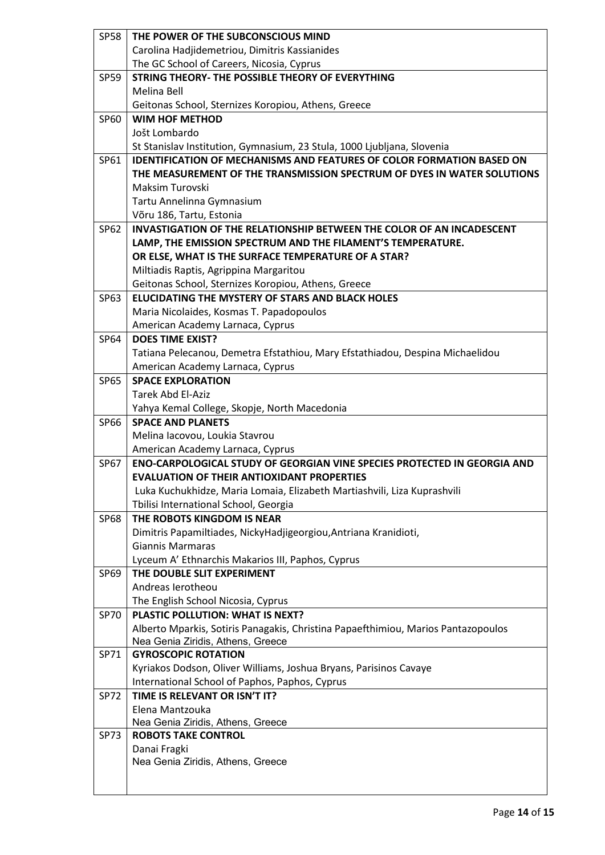| <b>SP58</b> | THE POWER OF THE SUBCONSCIOUS MIND                                                |
|-------------|-----------------------------------------------------------------------------------|
|             | Carolina Hadjidemetriou, Dimitris Kassianides                                     |
|             | The GC School of Careers, Nicosia, Cyprus                                         |
| <b>SP59</b> | STRING THEORY- THE POSSIBLE THEORY OF EVERYTHING                                  |
|             | Melina Bell                                                                       |
|             | Geitonas School, Sternizes Koropiou, Athens, Greece                               |
| SP60        | <b>WIM HOF METHOD</b>                                                             |
|             | Jošt Lombardo                                                                     |
|             | St Stanislav Institution, Gymnasium, 23 Stula, 1000 Ljubljana, Slovenia           |
| SP61        | <b>IDENTIFICATION OF MECHANISMS AND FEATURES OF COLOR FORMATION BASED ON</b>      |
|             | THE MEASUREMENT OF THE TRANSMISSION SPECTRUM OF DYES IN WATER SOLUTIONS           |
|             | Maksim Turovski                                                                   |
|             | Tartu Annelinna Gymnasium                                                         |
|             | Võru 186, Tartu, Estonia                                                          |
| SP62        | <b>INVASTIGATION OF THE RELATIONSHIP BETWEEN THE COLOR OF AN INCADESCENT</b>      |
|             | LAMP, THE EMISSION SPECTRUM AND THE FILAMENT'S TEMPERATURE.                       |
|             | OR ELSE, WHAT IS THE SURFACE TEMPERATURE OF A STAR?                               |
|             | Miltiadis Raptis, Agrippina Margaritou                                            |
|             | Geitonas School, Sternizes Koropiou, Athens, Greece                               |
| SP63        | ELUCIDATING THE MYSTERY OF STARS AND BLACK HOLES                                  |
|             | Maria Nicolaides, Kosmas T. Papadopoulos                                          |
|             | American Academy Larnaca, Cyprus                                                  |
| SP64        | <b>DOES TIME EXIST?</b>                                                           |
|             | Tatiana Pelecanou, Demetra Efstathiou, Mary Efstathiadou, Despina Michaelidou     |
|             | American Academy Larnaca, Cyprus                                                  |
| <b>SP65</b> | <b>SPACE EXPLORATION</b>                                                          |
|             | <b>Tarek Abd El-Aziz</b>                                                          |
|             | Yahya Kemal College, Skopje, North Macedonia                                      |
| SP66        | <b>SPACE AND PLANETS</b>                                                          |
|             | Melina Iacovou, Loukia Stavrou<br>American Academy Larnaca, Cyprus                |
| <b>SP67</b> | <b>ENO-CARPOLOGICAL STUDY OF GEORGIAN VINE SPECIES PROTECTED IN GEORGIA AND</b>   |
|             | <b>EVALUATION OF THEIR ANTIOXIDANT PROPERTIES</b>                                 |
|             | Luka Kuchukhidze, Maria Lomaia, Elizabeth Martiashvili, Liza Kuprashvili          |
|             | Tbilisi International School, Georgia                                             |
| <b>SP68</b> | THE ROBOTS KINGDOM IS NEAR                                                        |
|             | Dimitris Papamiltiades, NickyHadjigeorgiou, Antriana Kranidioti,                  |
|             | <b>Giannis Marmaras</b>                                                           |
|             | Lyceum A' Ethnarchis Makarios III, Paphos, Cyprus                                 |
| SP69        | THE DOUBLE SLIT EXPERIMENT                                                        |
|             | Andreas Ierotheou                                                                 |
|             | The English School Nicosia, Cyprus                                                |
| <b>SP70</b> | PLASTIC POLLUTION: WHAT IS NEXT?                                                  |
|             | Alberto Mparkis, Sotiris Panagakis, Christina Papaefthimiou, Marios Pantazopoulos |
|             | Nea Genia Ziridis, Athens, Greece                                                 |
| SP71        | <b>GYROSCOPIC ROTATION</b>                                                        |
|             | Kyriakos Dodson, Oliver Williams, Joshua Bryans, Parisinos Cavaye                 |
|             | International School of Paphos, Paphos, Cyprus                                    |
| <b>SP72</b> | TIME IS RELEVANT OR ISN'T IT?                                                     |
|             | Elena Mantzouka                                                                   |
|             | Nea Genia Ziridis, Athens, Greece                                                 |
| <b>SP73</b> | <b>ROBOTS TAKE CONTROL</b>                                                        |
|             | Danai Fragki                                                                      |
|             | Nea Genia Ziridis, Athens, Greece                                                 |
|             |                                                                                   |